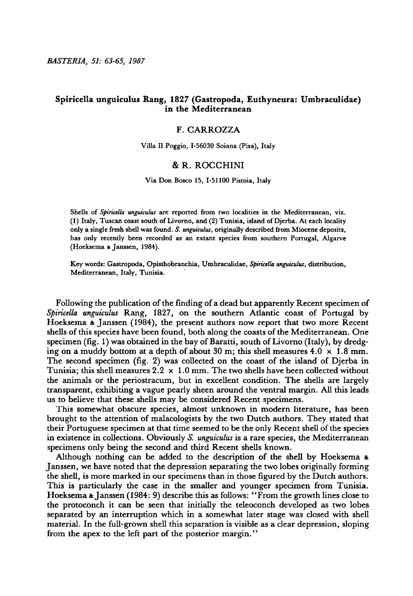BASTERIA, 51: 63-65, 1987

# Spiricella unguiculus Rang, 1827 (Gastropoda, Euthyneura: Umbraculidae) in the Mediterranean

## F. Carrozza

Villa II Poggio, 1-56030 Soiana (Pisa), Italy

### & R. Rocchini

### Via Don Bosco 15, 1-51100 Pistoia, Italy

Shells of Spiricella unguiculus are reported from two localities in the Mediterranean, viz. (1) Italy, Tuscan coast south ofLivorno, and (2) Tunisia, island ofDjerba. At each locality only <sup>a</sup> single fresh shell was found. S. unguiculus, originally described from Miocene deposits, has only recently been recorded as an extant species from southern Portugal, Algarve (Hoeksema & Janssen, 1984).

Key words: Gastropoda, Opisthobranchia, Umbraculidae, Spiricella unguiculus, distribution, Mediterranean, Italy, Tunisia.

Following the publication of the finding of a dead but apparently Recent specimen of Spiricella unguiculus Rang, 1827, on the southern Atlantic coast of Portugal by Hoeksema & Janssen (1984), the present authors now report that two more Recent shells of this species have been found, both along the coasts of the Mediterranean. One specimen (fig. 1) was obtained in the bay of Baratti, south of Livorno (Italy), by dredging on a muddy bottom at a depth of about 30 m; this shell measures  $4.0 \times 1.8$  mm. The second specimen (fig. 2) was collected on the coast of the island of Djerba in Tunisia; this shell measures  $2.2 \times 1.0$  mm. The two shells have been collected without the animals or the periostracum, but in excellent condition. The shells are largely transparent, exhibiting <sup>a</sup> vague pearly sheen around the ventral margin. All this leads us to believe that these shells may be considered Recent specimens.

This somewhat obscure species, almost unknown in modern literature, has been brought to the attention of malacologists by the two Dutch authors. They stated that their Portuguese specimen at that time seemed to be the only Recent shell of the species in existence in collections. Obviously S. unguiculus is a rare species, the Mediterranean specimens only being the second and third Recent shells known.

Although nothing can be added to the description of the shell by Hoeksema & Janssen, we have noted that the depression separating the two lobes originally forming the shell, is more marked in our specimens than in those figured by the Dutch authors. This is particularly the case in the smaller and younger specimen from Tunisia. Hoeksema & Janssen (1984: 9) describe this as follows: "From the growth lines close to the protoconch it can be seen that initially the teleoconch developed as two lobes separated by an interruption which in <sup>a</sup> somewhat later stage was closed with shell material. In the full-grown shell this separation is visible as a clear depression, sloping from the apex to the left part of the posterior margin."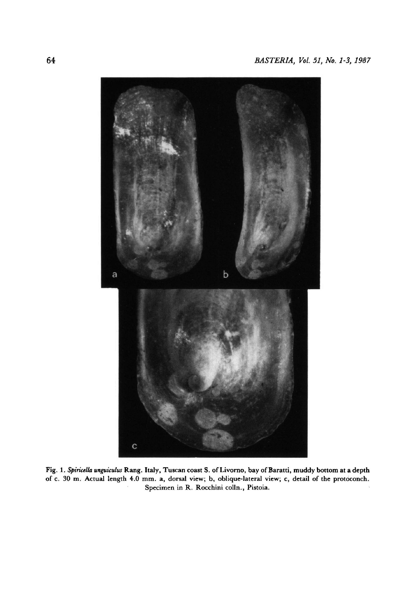

Fig. 1. Spiricella unguiculus Rang. Italy, Tuscan coast S. of Livorno, bay of Baratti, muddy bottom at a depth of c. 30 m. Actual length 4.0 mm. a, dorsal view; b, oblique-lateral view; c, detail of the protoconch. Specimen in R. Rocchini colln., Pistoia.